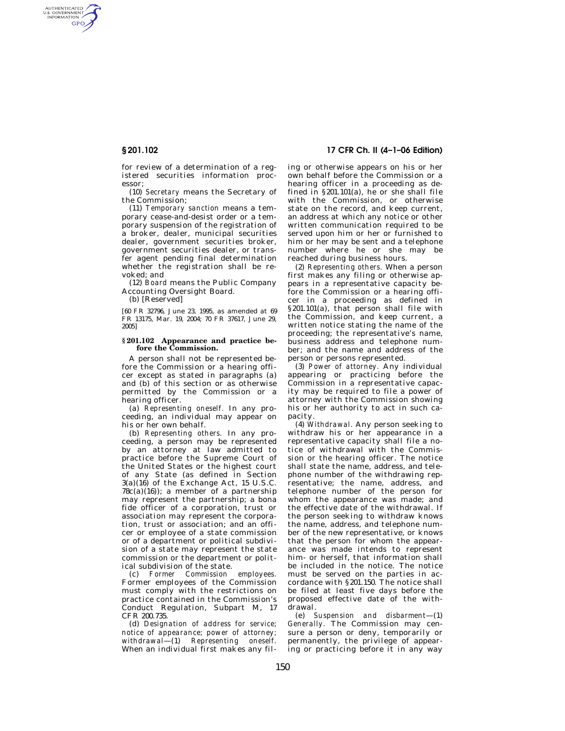AUTHENTICATED<br>U.S. GOVERNMENT<br>INFORMATION GPO

> for review of a determination of a registered securities information processor;

> (10) *Secretary* means the Secretary of the Commission;

> (11) *Temporary sanction* means a temporary cease-and-desist order or a temporary suspension of the registration of a broker, dealer, municipal securities dealer, government securities broker, government securities dealer, or transfer agent pending final determination whether the registration shall be revoked; and

> (12) *Board* means the Public Company Accounting Oversight Board.

(b) [Reserved]

[60 FR 32796, June 23, 1995, as amended at 69 FR 13175, Mar. 19, 2004; 70 FR 37617, June 29, 2005]

#### **§ 201.102 Appearance and practice before the Commission.**

A person shall not be represented before the Commission or a hearing officer except as stated in paragraphs (a) and (b) of this section or as otherwise permitted by the Commission or a hearing officer.

(a) *Representing oneself.* In any proceeding, an individual may appear on his or her own behalf.

(b) *Representing others.* In any proceeding, a person may be represented by an attorney at law admitted to practice before the Supreme Court of the United States or the highest court of any State (as defined in Section  $3(a)(16)$  of the Exchange Act, 15 U.S.C.  $78c(a)(16)$ ; a member of a partnership may represent the partnership; a bona fide officer of a corporation, trust or association may represent the corporation, trust or association; and an officer or employee of a state commission or of a department or political subdivision of a state may represent the state commission or the department or political subdivision of the state.

(c) *Former Commission employees.*  Former employees of the Commission must comply with the restrictions on practice contained in the Commission's Conduct Regulation, Subpart M, 17 CFR 200.735.

(d) *Designation of address for service; notice of appearance; power of attorney; withdrawal*—(1) *Representing oneself.*  When an individual first makes any fil-

# **§ 201.102 17 CFR Ch. II (4–1–06 Edition)**

ing or otherwise appears on his or her own behalf before the Commission or a hearing officer in a proceeding as defined in §201.101(a), he or she shall file with the Commission, or otherwise state on the record, and keep current, an address at which any notice or other written communication required to be served upon him or her or furnished to him or her may be sent and a telephone number where he or she may be reached during business hours.

(2) *Representing others.* When a person first makes any filing or otherwise appears in a representative capacity before the Commission or a hearing officer in a proceeding as defined in §201.101(a), that person shall file with the Commission, and keep current, a written notice stating the name of the proceeding; the representative's name, business address and telephone number; and the name and address of the person or persons represented.

(3) *Power of attorney.* Any individual appearing or practicing before the Commission in a representative capacity may be required to file a power of attorney with the Commission showing his or her authority to act in such capacity.

(4) *Withdrawal.* Any person seeking to withdraw his or her appearance in a representative capacity shall file a notice of withdrawal with the Commission or the hearing officer. The notice shall state the name, address, and telephone number of the withdrawing representative; the name, address, and telephone number of the person for whom the appearance was made; and the effective date of the withdrawal. If the person seeking to withdraw knows the name, address, and telephone number of the new representative, or knows that the person for whom the appearance was made intends to represent him- or herself, that information shall be included in the notice. The notice must be served on the parties in accordance with §201.150. The notice shall be filed at least five days before the proposed effective date of the withdrawal.

(e) *Suspension and disbarment*—(1) *Generally.* The Commission may censure a person or deny, temporarily or permanently, the privilege of appearing or practicing before it in any way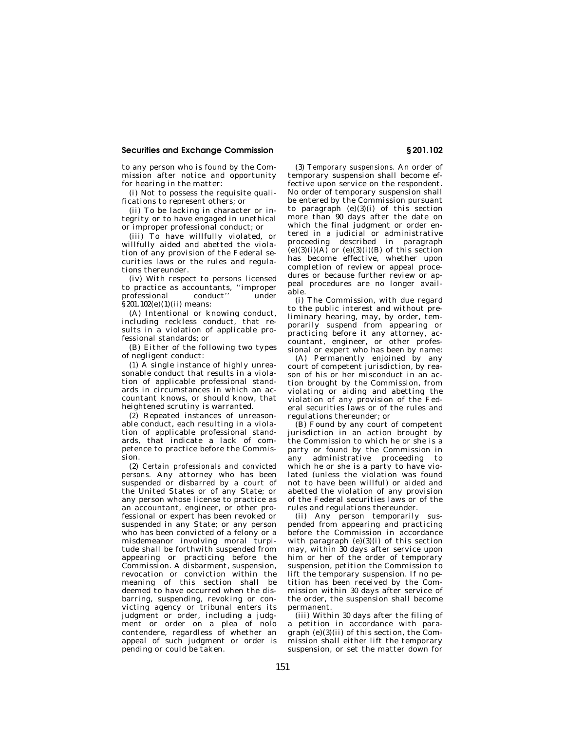## **Securities and Exchange Commission § 201.102**

to any person who is found by the Commission after notice and opportunity for hearing in the matter:

(i) Not to possess the requisite qualifications to represent others; or

(ii) To be lacking in character or integrity or to have engaged in unethical or improper professional conduct; or

(iii) To have willfully violated, or willfully aided and abetted the violation of any provision of the Federal securities laws or the rules and regulations thereunder.

(iv) With respect to persons licensed to practice as accountants, ''improper professional conduct'' under  $\S 201.102(e)(1)(ii)$  means:

(A) Intentional or knowing conduct, including reckless conduct, that results in a violation of applicable professional standards; or

(B) Either of the following two types of negligent conduct:

(*1*) A single instance of highly unreasonable conduct that results in a violation of applicable professional standards in circumstances in which an accountant knows, or should know, that heightened scrutiny is warranted.

(*2*) Repeated instances of unreasonable conduct, each resulting in a violation of applicable professional standards, that indicate a lack of competence to practice before the Commission.

(2) *Certain professionals and convicted persons.* Any attorney who has been suspended or disbarred by a court of the United States or of any State; or any person whose license to practice as an accountant, engineer, or other professional or expert has been revoked or suspended in any State; or any person who has been convicted of a felony or a misdemeanor involving moral turpitude shall be forthwith suspended from appearing or practicing before the Commission. A disbarment, suspension, revocation or conviction within the meaning of this section shall be deemed to have occurred when the disbarring, suspending, revoking or convicting agency or tribunal enters its judgment or order, including a judgment or order on a plea of nolo contendere, regardless of whether an appeal of such judgment or order is pending or could be taken.

(3) *Temporary suspensions.* An order of temporary suspension shall become effective upon service on the respondent. No order of temporary suspension shall be entered by the Commission pursuant to paragraph  $(e)(3)(i)$  of this section more than 90 days after the date on which the final judgment or order entered in a judicial or administrative proceeding described in paragraph  $(e)(3)(i)(A)$  or  $(e)(3)(i)(B)$  of this section has become effective, whether upon completion of review or appeal procedures or because further review or appeal procedures are no longer available.

(i) The Commission, with due regard to the public interest and without preliminary hearing, may, by order, temporarily suspend from appearing or practicing before it any attorney, accountant, engineer, or other professional or expert who has been by name:

(A) Permanently enjoined by any court of competent jurisdiction, by reason of his or her misconduct in an action brought by the Commission, from violating or aiding and abetting the violation of any provision of the Federal securities laws or of the rules and regulations thereunder; or

(B) Found by any court of competent jurisdiction in an action brought by the Commission to which he or she is a party or found by the Commission in any administrative proceeding to which he or she is a party to have violated (unless the violation was found not to have been willful) or aided and abetted the violation of any provision of the Federal securities laws or of the rules and regulations thereunder.

(ii) Any person temporarily suspended from appearing and practicing before the Commission in accordance with paragraph  $(e)(3)(i)$  of this section may, within 30 days after service upon him or her of the order of temporary suspension, petition the Commission to lift the temporary suspension. If no petition has been received by the Commission within 30 days after service of the order, the suspension shall become permanent.

(iii) Within 30 days after the filing of a petition in accordance with paragraph  $(e)(3)(ii)$  of this section, the Commission shall either lift the temporary suspension, or set the matter down for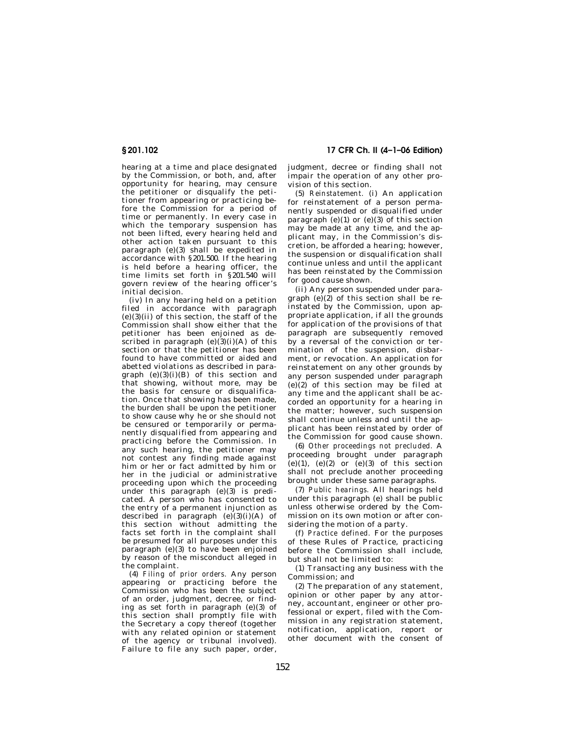hearing at a time and place designated by the Commission, or both, and, after opportunity for hearing, may censure the petitioner or disqualify the petitioner from appearing or practicing before the Commission for a period of time or permanently. In every case in which the temporary suspension has not been lifted, every hearing held and other action taken pursuant to this paragraph  $(e)(3)$  shall be expedited in accordance with §201.500. If the hearing is held before a hearing officer, the time limits set forth in §201.540 will govern review of the hearing officer's initial decision.

(iv) In any hearing held on a petition filed in accordance with paragraph  $(e)(3)(ii)$  of this section, the staff of the Commission shall show either that the petitioner has been enjoined as described in paragraph  $(e)(3)(i)(A)$  of this section or that the petitioner has been found to have committed or aided and abetted violations as described in paragraph  $(e)(3)(i)(B)$  of this section and that showing, without more, may be the basis for censure or disqualification. Once that showing has been made, the burden shall be upon the petitioner to show cause why he or she should not be censured or temporarily or permanently disqualified from appearing and practicing before the Commission. In any such hearing, the petitioner may not contest any finding made against him or her or fact admitted by him or her in the judicial or administrative proceeding upon which the proceeding under this paragraph  $(e)(3)$  is predicated. A person who has consented to the entry of a permanent injunction as described in paragraph  $(e)(3)(i)(A)$  of this section without admitting the facts set forth in the complaint shall be presumed for all purposes under this paragraph (e)(3) to have been enjoined by reason of the misconduct alleged in the complaint.

(4) *Filing of prior orders.* Any person appearing or practicing before the Commission who has been the subject of an order, judgment, decree, or finding as set forth in paragraph (e)(3) of this section shall promptly file with the Secretary a copy thereof (together with any related opinion or statement of the agency or tribunal involved). Failure to file any such paper, order,

**§ 201.102 17 CFR Ch. II (4–1–06 Edition)** 

judgment, decree or finding shall not impair the operation of any other provision of this section.

(5) *Reinstatement.* (i) An application for reinstatement of a person permanently suspended or disqualified under paragraph  $(e)(1)$  or  $(e)(3)$  of this section may be made at any time, and the applicant may, in the Commission's discretion, be afforded a hearing; however, the suspension or disqualification shall continue unless and until the applicant has been reinstated by the Commission for good cause shown.

(ii) Any person suspended under paragraph  $(e)(2)$  of this section shall be reinstated by the Commission, upon appropriate application, if all the grounds for application of the provisions of that paragraph are subsequently removed by a reversal of the conviction or termination of the suspension, disbarment, or revocation. An application for reinstatement on any other grounds by any person suspended under paragraph (e)(2) of this section may be filed at any time and the applicant shall be accorded an opportunity for a hearing in the matter; however, such suspension shall continue unless and until the applicant has been reinstated by order of the Commission for good cause shown.

(6) *Other proceedings not precluded.* A proceeding brought under paragraph  $(e)(1)$ ,  $(e)(2)$  or  $(e)(3)$  of this section shall not preclude another proceeding brought under these same paragraphs.

(7) *Public hearings.* All hearings held under this paragraph (e) shall be public unless otherwise ordered by the Commission on its own motion or after considering the motion of a party.

(f) *Practice defined.* For the purposes of these Rules of Practice, practicing before the Commission shall include, but shall not be limited to:

(1) Transacting any business with the Commission; and

(2) The preparation of any statement, opinion or other paper by any attorney, accountant, engineer or other professional or expert, filed with the Commission in any registration statement, notification, application, report or other document with the consent of